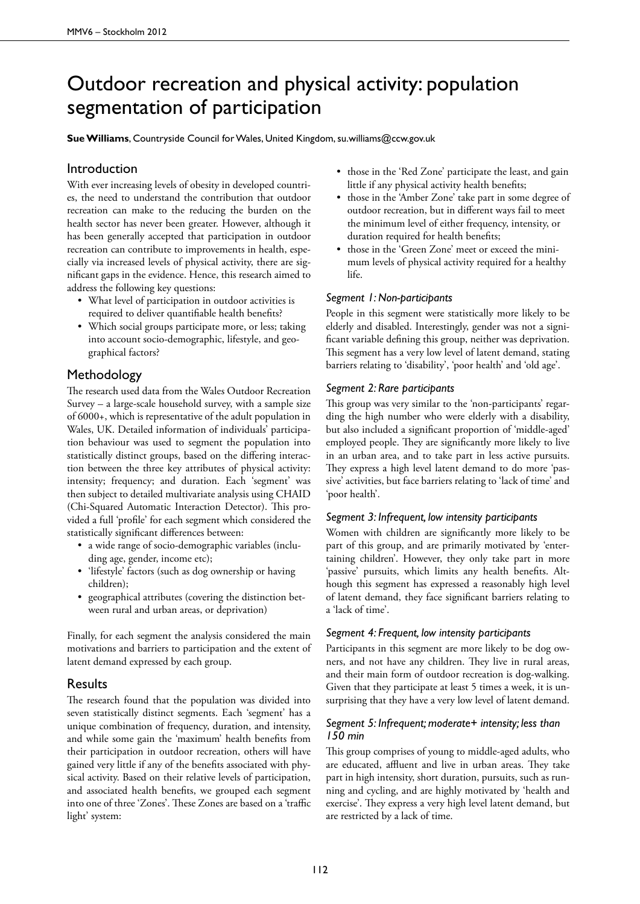# Outdoor recreation and physical activity: population segmentation of participation

**Sue Williams**, Countryside Council for Wales, United Kingdom, su.williams@ccw.gov.uk

## Introduction

With ever increasing levels of obesity in developed countries, the need to understand the contribution that outdoor recreation can make to the reducing the burden on the health sector has never been greater. However, although it has been generally accepted that participation in outdoor recreation can contribute to improvements in health, especially via increased levels of physical activity, there are significant gaps in the evidence. Hence, this research aimed to address the following key questions:

- • What level of participation in outdoor activities is required to deliver quantifiable health benefits?
- Which social groups participate more, or less; taking into account socio-demographic, lifestyle, and geographical factors?

## Methodology

The research used data from the Wales Outdoor Recreation Survey – a large-scale household survey, with a sample size of 6000+, which is representative of the adult population in Wales, UK. Detailed information of individuals' participation behaviour was used to segment the population into statistically distinct groups, based on the differing interaction between the three key attributes of physical activity: intensity; frequency; and duration. Each 'segment' was then subject to detailed multivariate analysis using CHAID (Chi-Squared Automatic Interaction Detector). This provided a full 'profile' for each segment which considered the statistically significant differences between:

- • a wide range of socio-demographic variables (including age, gender, income etc);
- 'lifestyle' factors (such as dog ownership or having children);
- • geographical attributes (covering the distinction between rural and urban areas, or deprivation)

Finally, for each segment the analysis considered the main motivations and barriers to participation and the extent of latent demand expressed by each group.

## **Results**

The research found that the population was divided into seven statistically distinct segments. Each 'segment' has a unique combination of frequency, duration, and intensity, and while some gain the 'maximum' health benefits from their participation in outdoor recreation, others will have gained very little if any of the benefits associated with physical activity. Based on their relative levels of participation, and associated health benefits, we grouped each segment into one of three 'Zones'. These Zones are based on a 'traffic light' system:

- those in the 'Red Zone' participate the least, and gain little if any physical activity health benefits;
- those in the 'Amber Zone' take part in some degree of outdoor recreation, but in different ways fail to meet the minimum level of either frequency, intensity, or duration required for health benefits;
- those in the 'Green Zone' meet or exceed the minimum levels of physical activity required for a healthy life.

#### *Segment 1: Non-participants*

People in this segment were statistically more likely to be elderly and disabled. Interestingly, gender was not a significant variable defining this group, neither was deprivation. This segment has a very low level of latent demand, stating barriers relating to 'disability', 'poor health' and 'old age'.

#### *Segment 2: Rare participants*

This group was very similar to the 'non-participants' regarding the high number who were elderly with a disability, but also included a significant proportion of 'middle-aged' employed people. They are significantly more likely to live in an urban area, and to take part in less active pursuits. They express a high level latent demand to do more 'passive' activities, but face barriers relating to 'lack of time' and 'poor health'.

#### *Segment 3: Infrequent, low intensity participants*

Women with children are significantly more likely to be part of this group, and are primarily motivated by 'entertaining children'. However, they only take part in more 'passive' pursuits, which limits any health benefits. Although this segment has expressed a reasonably high level of latent demand, they face significant barriers relating to a 'lack of time'.

#### *Segment 4: Frequent, low intensity participants*

Participants in this segment are more likely to be dog owners, and not have any children. They live in rural areas, and their main form of outdoor recreation is dog-walking. Given that they participate at least 5 times a week, it is unsurprising that they have a very low level of latent demand.

### *Segment 5: Infrequent; moderate+ intensity; less than 150 min*

This group comprises of young to middle-aged adults, who are educated, affluent and live in urban areas. They take part in high intensity, short duration, pursuits, such as running and cycling, and are highly motivated by 'health and exercise'. They express a very high level latent demand, but are restricted by a lack of time.